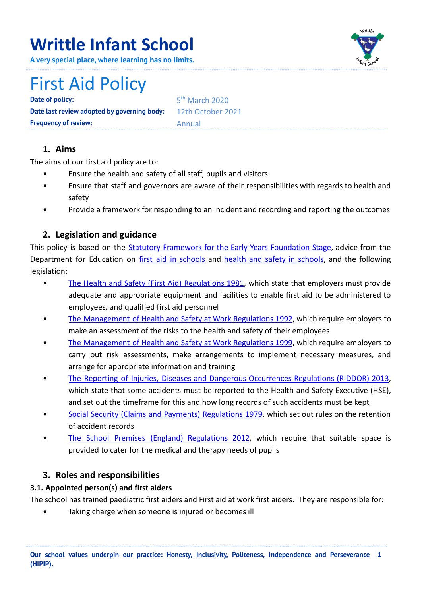# **Writtle Infant School**

**A very special place, where learning has no limits.**



# First Aid Policy

**Date of policy: Date last review adopted by governing body:** 12th October 2021 **Frequency of review:** Annual

5<sup>th</sup> March 2020

# **1. Aims**

The aims of our first aid policy are to:

- Ensure the health and safety of all staff, pupils and visitors
- Ensure that staff and governors are aware of their responsibilities with regards to health and safety
- Provide a framework for responding to an incident and recording and reporting the outcomes

# **2. Legislation and guidance**

This policy is based on the Statutory Framework for the Early Years [Foundation](https://www.gov.uk/government/uploads/system/uploads/attachment_data/file/596629/EYFS_STATUTORY_FRAMEWORK_2017.pdf) Stage, advice from the Department for Education on first aid in [schools](https://www.gov.uk/government/publications/first-aid-in-schools) and health and safety in [schools](https://www.gov.uk/government/publications/health-and-safety-advice-for-schools), and the following legislation:

- The Health and Safety (First Aid) [Regulations](http://www.legislation.gov.uk/uksi/1981/917/regulation/3/made) 1981, which state that employers must provide adequate and appropriate equipment and facilities to enable first aid to be administered to employees, and qualified first aid personnel
- The [Management](http://www.legislation.gov.uk/uksi/1992/2051/regulation/3/made) of Health and Safety at Work Regulations 1992, which require employers to make an assessment of the risks to the health and safety of their employees
- The [Management](http://www.legislation.gov.uk/uksi/1999/3242/contents/made) of Health and Safety at Work Regulations 1999, which require employers to carry out risk assessments, make arrangements to implement necessary measures, and arrange for appropriate information and training
- The Reporting of Injuries, Diseases and Dangerous [Occurrences](http://www.legislation.gov.uk/uksi/2013/1471/schedule/1/paragraph/1/made) Regulations (RIDDOR) 2013, which state that some accidents must be reported to the Health and Safety Executive (HSE), and set out the timeframe for this and how long records of such accidents must be kept
- Social Security (Claims and Payments) [Regulations](http://www.legislation.gov.uk/uksi/1979/628) 1979, which set out rules on the retention of accident records
- The School Premises (England) [Regulations](http://www.legislation.gov.uk/uksi/2012/1943/regulation/5/made) 2012, which require that suitable space is provided to cater for the medical and therapy needs of pupils

# **3. Roles and responsibilities**

# **3.1. Appointed person(s) and first aiders**

The school has trained paediatric first aiders and First aid at work first aiders. They are responsible for:

Taking charge when someone is injured or becomes ill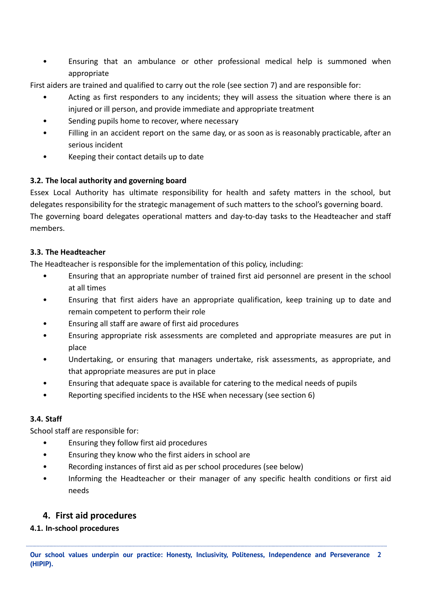• Ensuring that an ambulance or other professional medical help is summoned when appropriate

First aiders are trained and qualified to carry out the role (see section 7) and are responsible for:

- Acting as first responders to any incidents; they will assess the situation where there is an injured or ill person, and provide immediate and appropriate treatment
- Sending pupils home to recover, where necessary
- Filling in an accident report on the same day, or as soon as is reasonably practicable, after an serious incident
- Keeping their contact details up to date

## **3.2. The local authority and governing board**

Essex Local Authority has ultimate responsibility for health and safety matters in the school, but delegates responsibility for the strategic management of such matters to the school's governing board. The governing board delegates operational matters and day-to-day tasks to the Headteacher and staff members.

## **3.3. The Headteacher**

The Headteacher is responsible for the implementation of this policy, including:

- Ensuring that an appropriate number of trained first aid personnel are present in the school at all times
- Ensuring that first aiders have an appropriate qualification, keep training up to date and remain competent to perform their role
- Ensuring all staff are aware of first aid procedures
- Ensuring appropriate risk assessments are completed and appropriate measures are put in place
- Undertaking, or ensuring that managers undertake, risk assessments, as appropriate, and that appropriate measures are put in place
- Ensuring that adequate space is available for catering to the medical needs of pupils
- Reporting specified incidents to the HSE when necessary (see section 6)

## **3.4. Staff**

School staff are responsible for:

- Ensuring they follow first aid procedures
- Ensuring they know who the first aiders in school are
- Recording instances of first aid as per school procedures (see below)
- Informing the Headteacher or their manager of any specific health conditions or first aid needs

# **4. First aid procedures**

## **4.1. In-school procedures**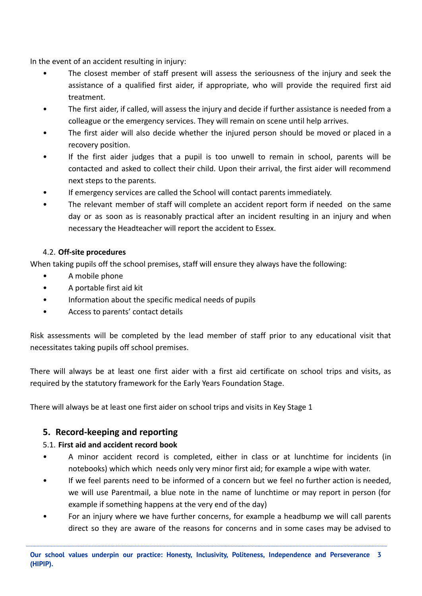In the event of an accident resulting in injury:

- The closest member of staff present will assess the seriousness of the injury and seek the assistance of a qualified first aider, if appropriate, who will provide the required first aid treatment.
- The first aider, if called, will assess the injury and decide if further assistance is needed from a colleague or the emergency services. They will remain on scene until help arrives.
- The first aider will also decide whether the injured person should be moved or placed in a recovery position.
- If the first aider judges that a pupil is too unwell to remain in school, parents will be contacted and asked to collect their child. Upon their arrival, the first aider will recommend next steps to the parents.
- If emergency services are called the School will contact parents immediately.
- The relevant member of staff will complete an accident report form if needed on the same day or as soon as is reasonably practical after an incident resulting in an injury and when necessary the Headteacher will report the accident to Essex.

## 4.2. **Off-site procedures**

When taking pupils off the school premises, staff will ensure they always have the following:

- A mobile phone
- A portable first aid kit
- Information about the specific medical needs of pupils
- Access to parents' contact details

Risk assessments will be completed by the lead member of staff prior to any educational visit that necessitates taking pupils off school premises.

There will always be at least one first aider with a first aid certificate on school trips and visits, as required by the statutory framework for the Early Years Foundation Stage.

There will always be at least one first aider on school trips and visits in Key Stage 1

# **5. Record-keeping and reporting**

## 5.1. **First aid and accident record book**

- A minor accident record is completed, either in class or at lunchtime for incidents (in notebooks) which which needs only very minor first aid; for example a wipe with water.
- If we feel parents need to be informed of a concern but we feel no further action is needed, we will use Parentmail, a blue note in the name of lunchtime or may report in person (for example if something happens at the very end of the day)
- For an injury where we have further concerns, for example a headbump we will call parents direct so they are aware of the reasons for concerns and in some cases may be advised to